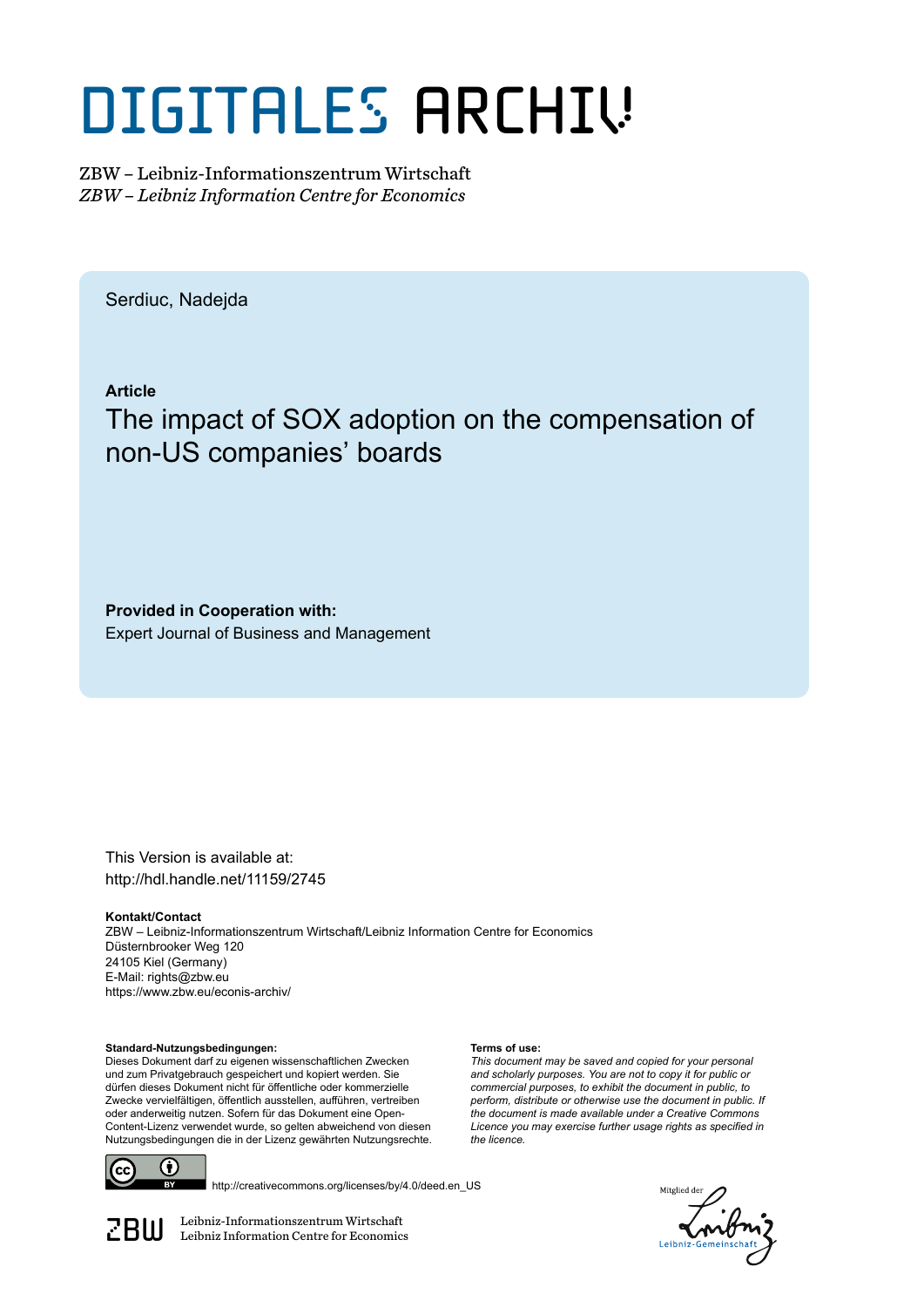# DIGITALES ARCHIV

ZBW – Leibniz-Informationszentrum Wirtschaft *ZBW – Leibniz Information Centre for Economics*

Serdiuc, Nadejda

**Article**

## The impact of SOX adoption on the compensation of non-US companies' boards

**Provided in Cooperation with:** Expert Journal of Business and Management

This Version is available at: http://hdl.handle.net/11159/2745

**Kontakt/Contact** ZBW – Leibniz-Informationszentrum Wirtschaft/Leibniz Information Centre for Economics Düsternbrooker Weg 120 24105 Kiel (Germany) E-Mail: rights@zbw.eu https://www.zbw.eu/econis-archiv/

**Terms of use:**

*the licence.*

*This document may be saved and copied for your personal and scholarly purposes. You are not to copy it for public or commercial purposes, to exhibit the document in public, to perform, distribute or otherwise use the document in public. If the document is made available under a Creative Commons Licence you may exercise further usage rights as specified in*

**Standard-Nutzungsbedingungen:**

Dieses Dokument darf zu eigenen wissenschaftlichen Zwecken und zum Privatgebrauch gespeichert und kopiert werden. Sie dürfen dieses Dokument nicht für öffentliche oder kommerzielle Zwecke vervielfältigen, öffentlich ausstellen, aufführen, vertreiben oder anderweitig nutzen. Sofern für das Dokument eine Open-Content-Lizenz verwendet wurde, so gelten abweichend von diesen Nutzungsbedingungen die in der Lizenz gewährten Nutzungsrechte.



http://creativecommons.org/licenses/by/4.0/deed.en\_US

*Aitplied* 

 $\mathbb{Z} \text{B} \text{U}$  Leibniz-Informationszentrum Wirtschaft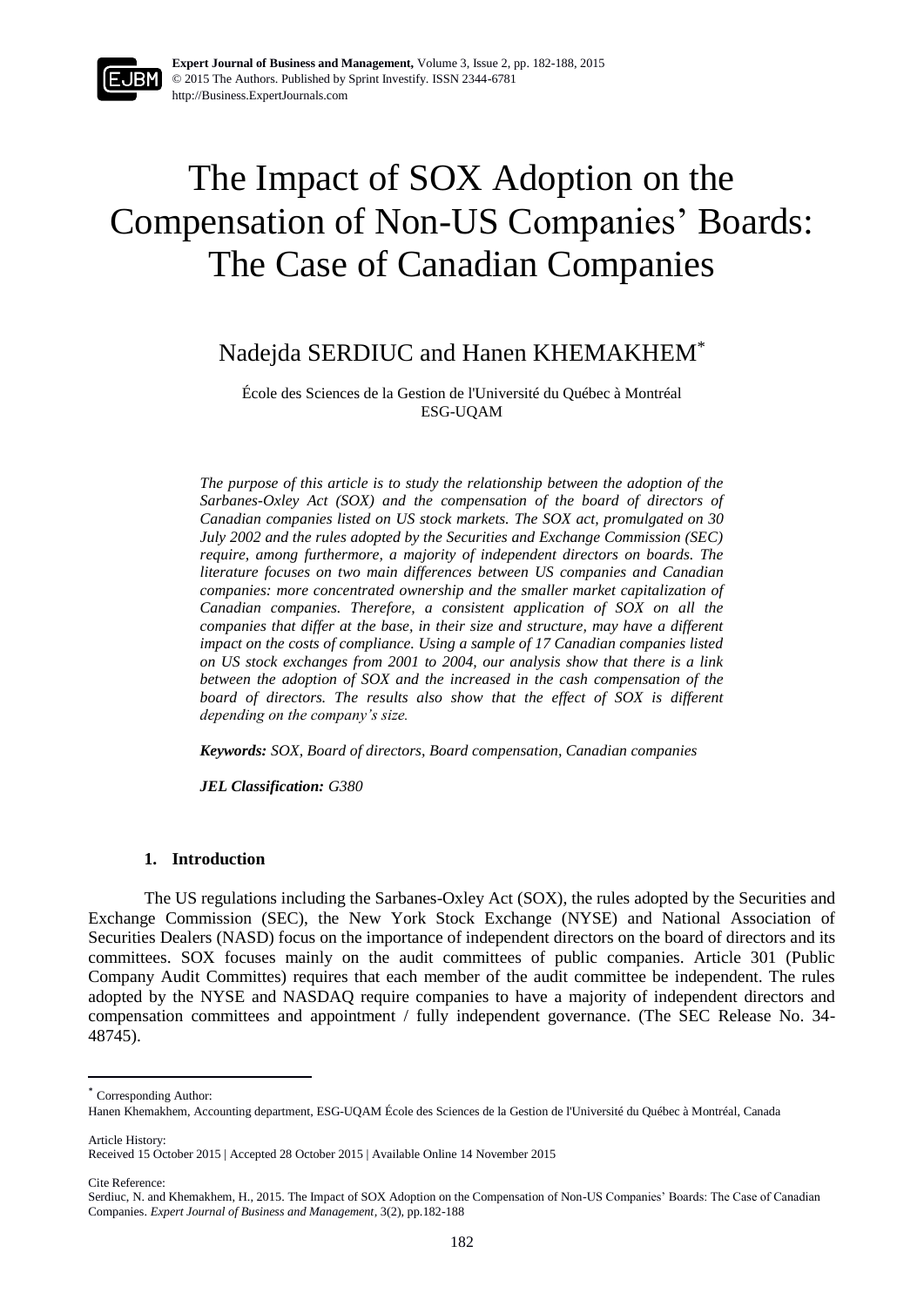

**Expert Journal of Business and Management,** Volume 3, Issue 2, pp. 182-188, 2015 © 2015 The Authors. Published by Sprint Investify. ISSN 2344-6781 http://Business.ExpertJournals.com

## The Impact of SOX Adoption on the Compensation of Non-US Companies' Boards: The Case of Canadian Companies

### Nadejda SERDIUC and Hanen KHEMAKHEM\*

École des Sciences de la Gestion de l'Université du Québec à Montréal ESG-UQAM

*The purpose of this article is to study the relationship between the adoption of the Sarbanes-Oxley Act (SOX) and the compensation of the board of directors of Canadian companies listed on US stock markets. The SOX act, promulgated on 30 July 2002 and the rules adopted by the Securities and Exchange Commission (SEC) require, among furthermore, a majority of independent directors on boards. The literature focuses on two main differences between US companies and Canadian companies: more concentrated ownership and the smaller market capitalization of Canadian companies. Therefore, a consistent application of SOX on all the companies that differ at the base, in their size and structure, may have a different impact on the costs of compliance. Using a sample of 17 Canadian companies listed on US stock exchanges from 2001 to 2004, our analysis show that there is a link between the adoption of SOX and the increased in the cash compensation of the board of directors. The results also show that the effect of SOX is different depending on the company's size.*

*Keywords: SOX, Board of directors, Board compensation, Canadian companies*

*JEL Classification: G380*

#### **1. Introduction**

The US regulations including the Sarbanes-Oxley Act (SOX), the rules adopted by the Securities and Exchange Commission (SEC), the New York Stock Exchange (NYSE) and National Association of Securities Dealers (NASD) focus on the importance of independent directors on the board of directors and its committees. SOX focuses mainly on the audit committees of public companies. Article 301 (Public Company Audit Committes) requires that each member of the audit committee be independent. The rules adopted by the NYSE and NASDAQ require companies to have a majority of independent directors and compensation committees and appointment / fully independent governance. (The SEC Release No. 34- 48745).

\* Corresponding Author:

Received 15 October 2015 | Accepted 28 October 2015 | Available Online 14 November 2015

Cite Reference:

Article History:

 $\overline{a}$ 

Hanen Khemakhem, Accounting department, ESG-UQAM École des Sciences de la Gestion de l'Université du Québec à Montréal, Canada

Serdiuc, N. and Khemakhem, H., 2015. The Impact of SOX Adoption on the Compensation of Non-US Companies' Boards: The Case of Canadian Companies. *Expert Journal of Business and Management,* 3(2), pp.182-188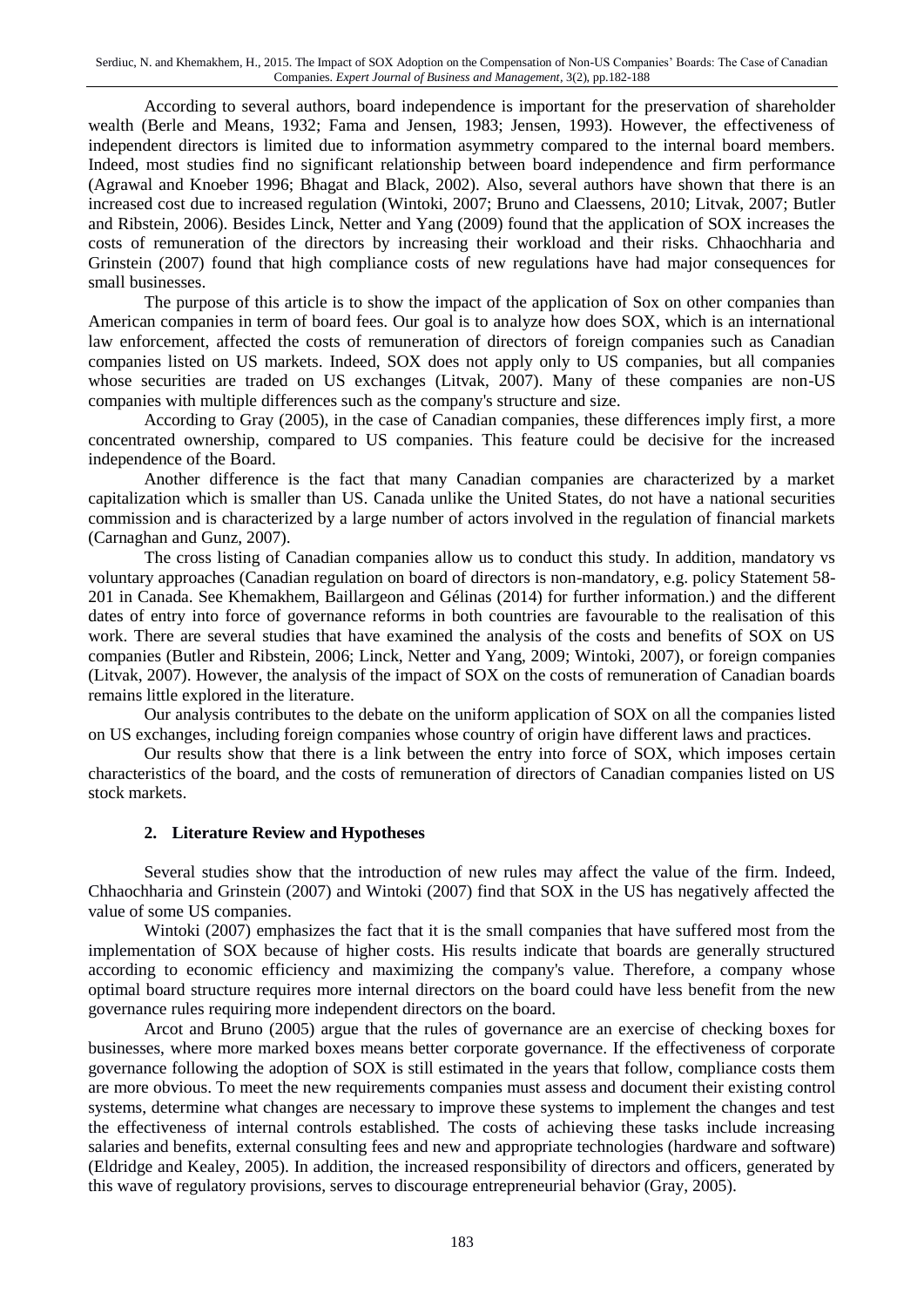Serdiuc, N. and Khemakhem, H., 2015. The Impact of SOX Adoption on the Compensation of Non-US Companies' Boards: The Case of Canadian Companies. *Expert Journal of Business and Management,* 3(2), pp.182-188

According to several authors, board independence is important for the preservation of shareholder wealth (Berle and Means, 1932; Fama and Jensen, 1983; Jensen, 1993). However, the effectiveness of independent directors is limited due to information asymmetry compared to the internal board members. Indeed, most studies find no significant relationship between board independence and firm performance (Agrawal and Knoeber 1996; Bhagat and Black, 2002). Also, several authors have shown that there is an increased cost due to increased regulation (Wintoki, 2007; Bruno and Claessens, 2010; Litvak, 2007; Butler and Ribstein, 2006). Besides Linck, Netter and Yang (2009) found that the application of SOX increases the costs of remuneration of the directors by increasing their workload and their risks. Chhaochharia and Grinstein (2007) found that high compliance costs of new regulations have had major consequences for small businesses.

The purpose of this article is to show the impact of the application of Sox on other companies than American companies in term of board fees. Our goal is to analyze how does SOX, which is an international law enforcement, affected the costs of remuneration of directors of foreign companies such as Canadian companies listed on US markets. Indeed, SOX does not apply only to US companies, but all companies whose securities are traded on US exchanges (Litvak, 2007). Many of these companies are non-US companies with multiple differences such as the company's structure and size.

According to Gray (2005), in the case of Canadian companies, these differences imply first, a more concentrated ownership, compared to US companies. This feature could be decisive for the increased independence of the Board.

Another difference is the fact that many Canadian companies are characterized by a market capitalization which is smaller than US. Canada unlike the United States, do not have a national securities commission and is characterized by a large number of actors involved in the regulation of financial markets (Carnaghan and Gunz, 2007).

The cross listing of Canadian companies allow us to conduct this study. In addition, mandatory vs voluntary approaches (Canadian regulation on board of directors is non-mandatory, e.g. policy Statement 58- 201 in Canada. See Khemakhem, Baillargeon and Gélinas (2014) for further information.) and the different dates of entry into force of governance reforms in both countries are favourable to the realisation of this work. There are several studies that have examined the analysis of the costs and benefits of SOX on US companies (Butler and Ribstein, 2006; Linck, Netter and Yang, 2009; Wintoki, 2007), or foreign companies (Litvak, 2007). However, the analysis of the impact of SOX on the costs of remuneration of Canadian boards remains little explored in the literature.

Our analysis contributes to the debate on the uniform application of SOX on all the companies listed on US exchanges, including foreign companies whose country of origin have different laws and practices.

Our results show that there is a link between the entry into force of SOX, which imposes certain characteristics of the board, and the costs of remuneration of directors of Canadian companies listed on US stock markets.

#### **2. Literature Review and Hypotheses**

Several studies show that the introduction of new rules may affect the value of the firm. Indeed, Chhaochharia and Grinstein (2007) and Wintoki (2007) find that SOX in the US has negatively affected the value of some US companies.

Wintoki (2007) emphasizes the fact that it is the small companies that have suffered most from the implementation of SOX because of higher costs. His results indicate that boards are generally structured according to economic efficiency and maximizing the company's value. Therefore, a company whose optimal board structure requires more internal directors on the board could have less benefit from the new governance rules requiring more independent directors on the board.

Arcot and Bruno (2005) argue that the rules of governance are an exercise of checking boxes for businesses, where more marked boxes means better corporate governance. If the effectiveness of corporate governance following the adoption of SOX is still estimated in the years that follow, compliance costs them are more obvious. To meet the new requirements companies must assess and document their existing control systems, determine what changes are necessary to improve these systems to implement the changes and test the effectiveness of internal controls established. The costs of achieving these tasks include increasing salaries and benefits, external consulting fees and new and appropriate technologies (hardware and software) (Eldridge and Kealey, 2005). In addition, the increased responsibility of directors and officers, generated by this wave of regulatory provisions, serves to discourage entrepreneurial behavior (Gray, 2005).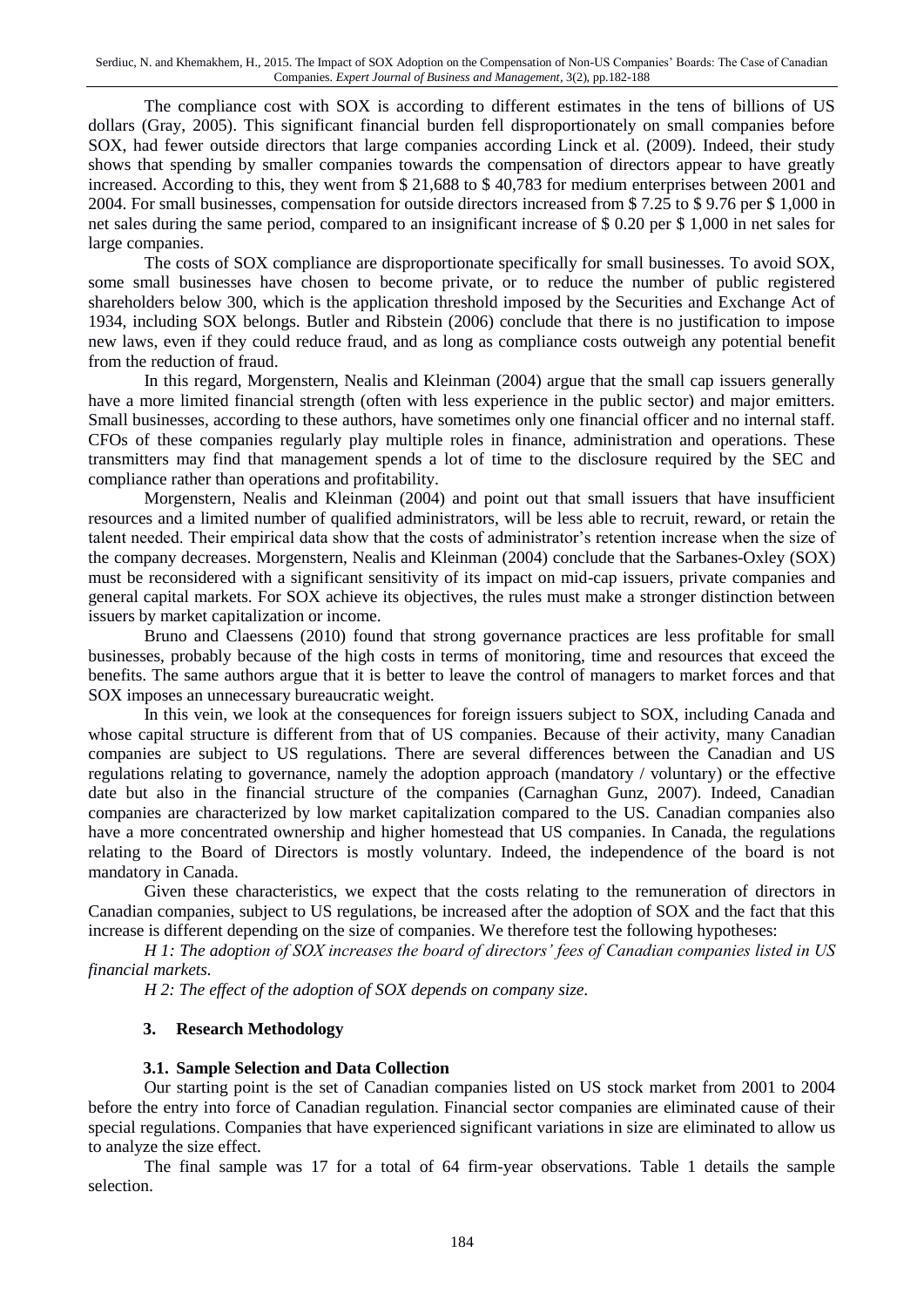Serdiuc, N. and Khemakhem, H., 2015. The Impact of SOX Adoption on the Compensation of Non-US Companies' Boards: The Case of Canadian Companies. *Expert Journal of Business and Management,* 3(2), pp.182-188

The compliance cost with SOX is according to different estimates in the tens of billions of US dollars (Gray, 2005). This significant financial burden fell disproportionately on small companies before SOX, had fewer outside directors that large companies according Linck et al. (2009). Indeed, their study shows that spending by smaller companies towards the compensation of directors appear to have greatly increased. According to this, they went from \$ 21,688 to \$ 40,783 for medium enterprises between 2001 and 2004. For small businesses, compensation for outside directors increased from \$ 7.25 to \$ 9.76 per \$ 1,000 in net sales during the same period, compared to an insignificant increase of \$ 0.20 per \$ 1,000 in net sales for large companies.

The costs of SOX compliance are disproportionate specifically for small businesses. To avoid SOX, some small businesses have chosen to become private, or to reduce the number of public registered shareholders below 300, which is the application threshold imposed by the Securities and Exchange Act of 1934, including SOX belongs. Butler and Ribstein (2006) conclude that there is no justification to impose new laws, even if they could reduce fraud, and as long as compliance costs outweigh any potential benefit from the reduction of fraud.

In this regard, Morgenstern, Nealis and Kleinman (2004) argue that the small cap issuers generally have a more limited financial strength (often with less experience in the public sector) and major emitters. Small businesses, according to these authors, have sometimes only one financial officer and no internal staff. CFOs of these companies regularly play multiple roles in finance, administration and operations. These transmitters may find that management spends a lot of time to the disclosure required by the SEC and compliance rather than operations and profitability.

Morgenstern, Nealis and Kleinman (2004) and point out that small issuers that have insufficient resources and a limited number of qualified administrators, will be less able to recruit, reward, or retain the talent needed. Their empirical data show that the costs of administrator's retention increase when the size of the company decreases. Morgenstern, Nealis and Kleinman (2004) conclude that the Sarbanes-Oxley (SOX) must be reconsidered with a significant sensitivity of its impact on mid-cap issuers, private companies and general capital markets. For SOX achieve its objectives, the rules must make a stronger distinction between issuers by market capitalization or income.

Bruno and Claessens (2010) found that strong governance practices are less profitable for small businesses, probably because of the high costs in terms of monitoring, time and resources that exceed the benefits. The same authors argue that it is better to leave the control of managers to market forces and that SOX imposes an unnecessary bureaucratic weight.

In this vein, we look at the consequences for foreign issuers subject to SOX, including Canada and whose capital structure is different from that of US companies. Because of their activity, many Canadian companies are subject to US regulations. There are several differences between the Canadian and US regulations relating to governance, namely the adoption approach (mandatory / voluntary) or the effective date but also in the financial structure of the companies (Carnaghan Gunz, 2007). Indeed, Canadian companies are characterized by low market capitalization compared to the US. Canadian companies also have a more concentrated ownership and higher homestead that US companies. In Canada, the regulations relating to the Board of Directors is mostly voluntary. Indeed, the independence of the board is not mandatory in Canada.

Given these characteristics, we expect that the costs relating to the remuneration of directors in Canadian companies, subject to US regulations, be increased after the adoption of SOX and the fact that this increase is different depending on the size of companies. We therefore test the following hypotheses:

*H 1: The adoption of SOX increases the board of directors' fees of Canadian companies listed in US financial markets.*

*H 2: The effect of the adoption of SOX depends on company size.*

#### **3. Research Methodology**

#### **3.1. Sample Selection and Data Collection**

Our starting point is the set of Canadian companies listed on US stock market from 2001 to 2004 before the entry into force of Canadian regulation. Financial sector companies are eliminated cause of their special regulations. Companies that have experienced significant variations in size are eliminated to allow us to analyze the size effect.

The final sample was 17 for a total of 64 firm-year observations. Table 1 details the sample selection.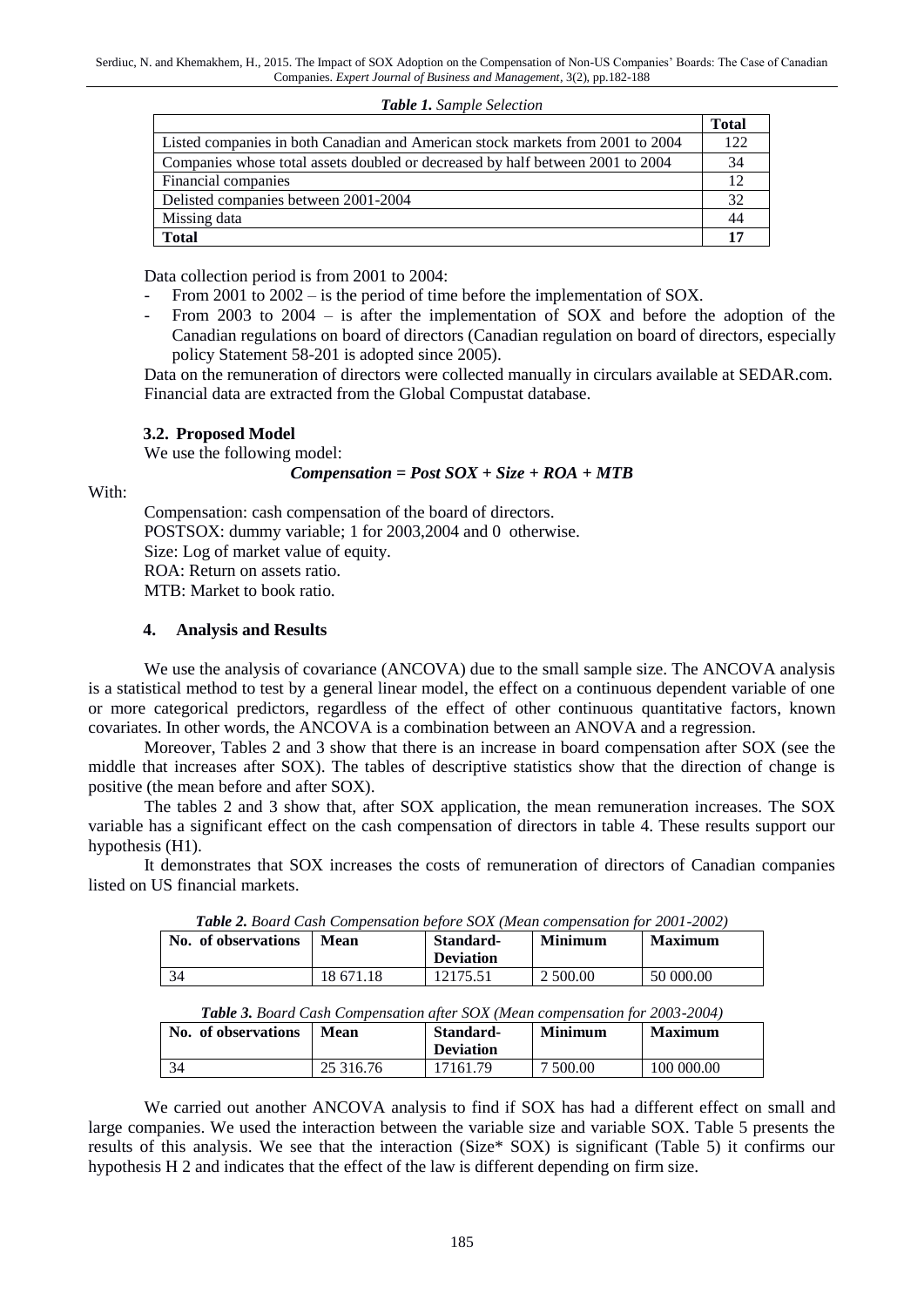*Table 1. Sample Selection*

|                                                                                | <b>Total</b> |
|--------------------------------------------------------------------------------|--------------|
| Listed companies in both Canadian and American stock markets from 2001 to 2004 | 122.         |
| Companies whose total assets doubled or decreased by half between 2001 to 2004 | 34           |
| Financial companies                                                            |              |
| Delisted companies between 2001-2004                                           |              |
| Missing data                                                                   | 44           |
| <b>Total</b>                                                                   |              |

Data collection period is from 2001 to 2004:

- From 2001 to 2002 is the period of time before the implementation of SOX.
- From 2003 to  $2004 -$  is after the implementation of SOX and before the adoption of the Canadian regulations on board of directors (Canadian regulation on board of directors, especially policy Statement 58-201 is adopted since 2005).

Data on the remuneration of directors were collected manually in circulars available at SEDAR.com. Financial data are extracted from the Global Compustat database.

#### **3.2. Proposed Model**

We use the following model:

#### *Compensation = Post SOX + Size + ROA + MTB*

With:

Compensation: cash compensation of the board of directors. POSTSOX: dummy variable; 1 for 2003,2004 and 0 otherwise. Size: Log of market value of equity. ROA: Return on assets ratio. MTB: Market to book ratio.

#### **4. Analysis and Results**

We use the analysis of covariance (ANCOVA) due to the small sample size. The ANCOVA analysis is a statistical method to test by a general linear model, the effect on a continuous dependent variable of one or more categorical predictors, regardless of the effect of other continuous quantitative factors, known covariates. In other words, the ANCOVA is a combination between an ANOVA and a regression.

Moreover, Tables 2 and 3 show that there is an increase in board compensation after SOX (see the middle that increases after SOX). The tables of descriptive statistics show that the direction of change is positive (the mean before and after SOX).

The tables 2 and 3 show that, after SOX application, the mean remuneration increases. The SOX variable has a significant effect on the cash compensation of directors in table 4. These results support our hypothesis (H1).

It demonstrates that SOX increases the costs of remuneration of directors of Canadian companies listed on US financial markets.

| <b>Table 2.</b> Board Cash Compensation before SOX (Mean compensation for 2001-2002) |           |                               |                |                |
|--------------------------------------------------------------------------------------|-----------|-------------------------------|----------------|----------------|
| No. of observations                                                                  | Mean      | Standard-<br><b>Deviation</b> | <b>Minimum</b> | <b>Maximum</b> |
| -34                                                                                  | 18 671.18 | 12175.51                      | 2 500.00       | 50 000.00      |

*Table 2. Board Cash Compensation before SOX (Mean compensation for 2001-2002)*

| Table 3. Board Cash Compensation after SOX (Mean compensation for 2003-2004) |  |  |  |
|------------------------------------------------------------------------------|--|--|--|
|------------------------------------------------------------------------------|--|--|--|

| No. of observations | Mean      | Standard-<br><b>Deviation</b> | <b>Minimum</b> | <b>Maximum</b> |
|---------------------|-----------|-------------------------------|----------------|----------------|
| 34                  | 25 316.76 | 17161.79                      | 7 500.00       | 100 000.00     |

We carried out another ANCOVA analysis to find if SOX has had a different effect on small and large companies. We used the interaction between the variable size and variable SOX. Table 5 presents the results of this analysis. We see that the interaction (Size\* SOX) is significant (Table 5) it confirms our hypothesis H 2 and indicates that the effect of the law is different depending on firm size.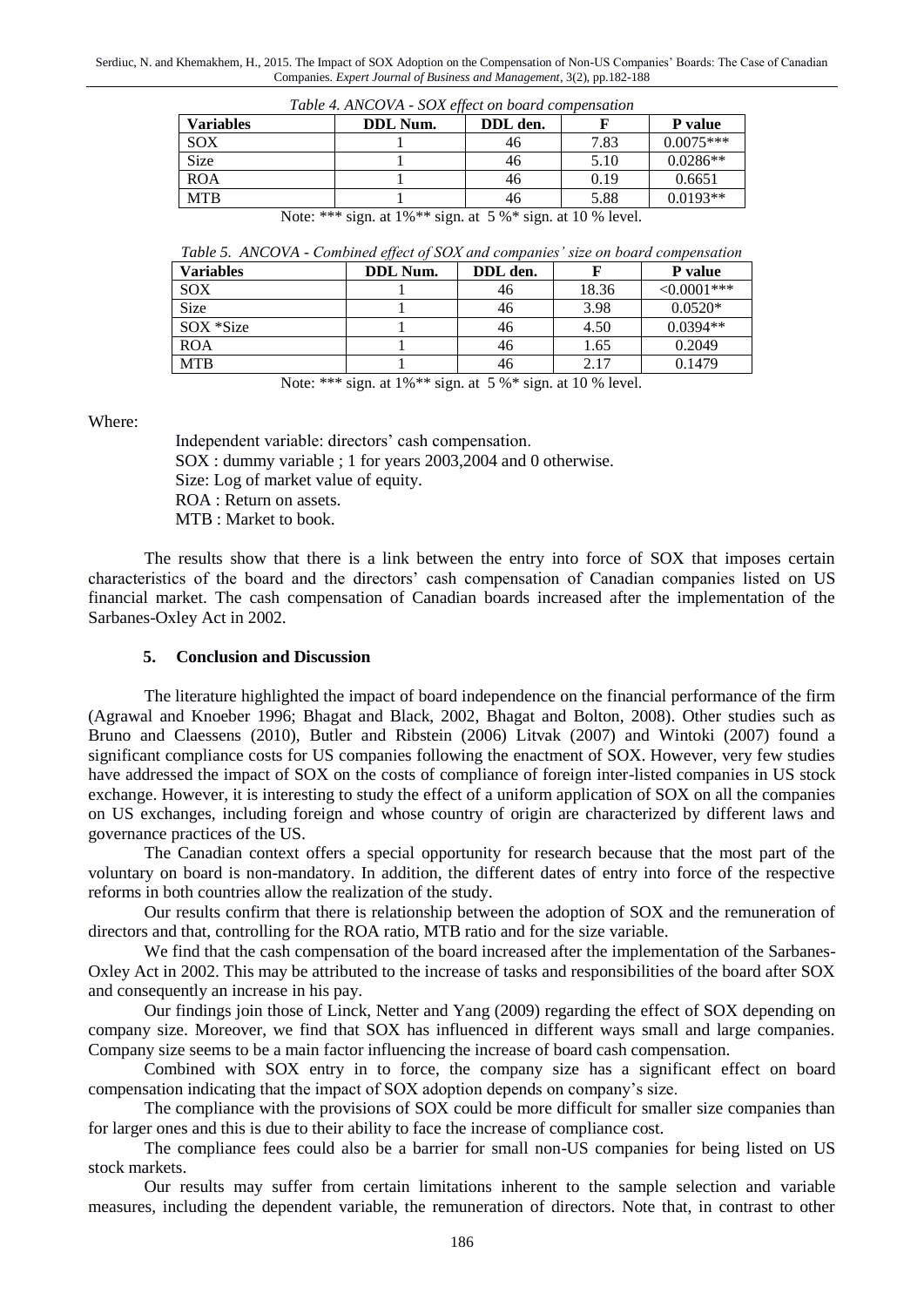| Table 4. ANCOVA - SOX effect on board compensation                |  |          |          |      |             |
|-------------------------------------------------------------------|--|----------|----------|------|-------------|
| <b>Variables</b>                                                  |  | DDL Num. | DDL den. |      | P value     |
| SOX                                                               |  |          | 46       | 7.83 | $0.0075***$ |
| <b>Size</b>                                                       |  |          | 46       | 5.10 | $0.0286**$  |
| <b>ROA</b>                                                        |  |          | 46       | 0.19 | 0.6651      |
| <b>MTB</b>                                                        |  |          | 46       | 5.88 | $0.0193**$  |
| Note: *** sign. at $1\%$ ** sign. at $5\%$ * sign. at 10 % level. |  |          |          |      |             |

*Table 5. ANCOVA - Combined effect of SOX and companies' size on board compensation*

| <b>Variables</b> | DDL Num. | DDL den. |       | P value        |
|------------------|----------|----------|-------|----------------|
| SOX              |          | 46       | 18.36 | ${<}0.0001***$ |
| <b>Size</b>      |          | 46       | 3.98  | $0.0520*$      |
| SOX *Size        |          | 46       | 4.50  | $0.0394**$     |
| <b>ROA</b>       |          | 46       | 1.65  | 0.2049         |
| <b>MTB</b>       |          | 46       | 2.17  | 0.1479         |

Note: \*\*\* sign. at 1%<sup>\*\*</sup> sign. at 5 %<sup>\*</sup> sign. at 10 % level.

Where:

Independent variable: directors' cash compensation. SOX : dummy variable ; 1 for years 2003,2004 and 0 otherwise. Size: Log of market value of equity. ROA : Return on assets. MTB : Market to book.

The results show that there is a link between the entry into force of SOX that imposes certain characteristics of the board and the directors' cash compensation of Canadian companies listed on US financial market. The cash compensation of Canadian boards increased after the implementation of the Sarbanes-Oxley Act in 2002.

#### **5. Conclusion and Discussion**

The literature highlighted the impact of board independence on the financial performance of the firm (Agrawal and Knoeber 1996; Bhagat and Black, 2002, Bhagat and Bolton, 2008). Other studies such as Bruno and Claessens (2010), Butler and Ribstein (2006) Litvak (2007) and Wintoki (2007) found a significant compliance costs for US companies following the enactment of SOX. However, very few studies have addressed the impact of SOX on the costs of compliance of foreign inter-listed companies in US stock exchange. However, it is interesting to study the effect of a uniform application of SOX on all the companies on US exchanges, including foreign and whose country of origin are characterized by different laws and governance practices of the US.

The Canadian context offers a special opportunity for research because that the most part of the voluntary on board is non-mandatory. In addition, the different dates of entry into force of the respective reforms in both countries allow the realization of the study.

Our results confirm that there is relationship between the adoption of SOX and the remuneration of directors and that, controlling for the ROA ratio, MTB ratio and for the size variable.

We find that the cash compensation of the board increased after the implementation of the Sarbanes-Oxley Act in 2002. This may be attributed to the increase of tasks and responsibilities of the board after SOX and consequently an increase in his pay.

Our findings join those of Linck, Netter and Yang (2009) regarding the effect of SOX depending on company size. Moreover, we find that SOX has influenced in different ways small and large companies. Company size seems to be a main factor influencing the increase of board cash compensation.

Combined with SOX entry in to force, the company size has a significant effect on board compensation indicating that the impact of SOX adoption depends on company's size.

The compliance with the provisions of SOX could be more difficult for smaller size companies than for larger ones and this is due to their ability to face the increase of compliance cost.

The compliance fees could also be a barrier for small non-US companies for being listed on US stock markets.

Our results may suffer from certain limitations inherent to the sample selection and variable measures, including the dependent variable, the remuneration of directors. Note that, in contrast to other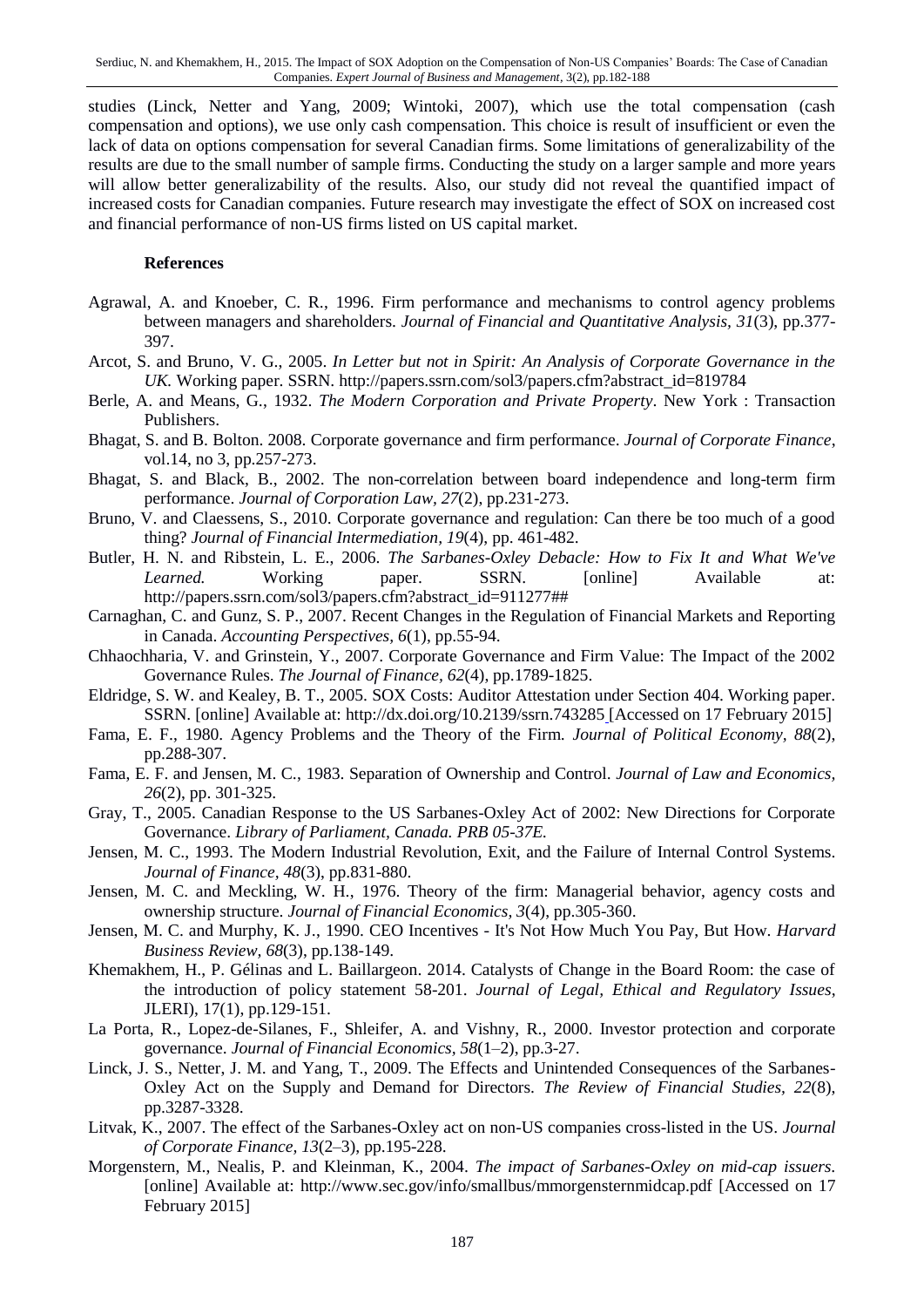studies (Linck, Netter and Yang, 2009; Wintoki, 2007), which use the total compensation (cash compensation and options), we use only cash compensation. This choice is result of insufficient or even the lack of data on options compensation for several Canadian firms. Some limitations of generalizability of the results are due to the small number of sample firms. Conducting the study on a larger sample and more years will allow better generalizability of the results. Also, our study did not reveal the quantified impact of increased costs for Canadian companies. Future research may investigate the effect of SOX on increased cost and financial performance of non-US firms listed on US capital market.

#### **References**

- Agrawal, A. and Knoeber, C. R., 1996. Firm performance and mechanisms to control agency problems between managers and shareholders. *Journal of Financial and Quantitative Analysis, 31*(3), pp.377- 397.
- Arcot, S. and Bruno, V. G., 2005. *In Letter but not in Spirit: An Analysis of Corporate Governance in the UK.* Working paper. SSRN. http://papers.ssrn.com/sol3/papers.cfm?abstract\_id=819784
- Berle, A. and Means, G., 1932. *The Modern Corporation and Private Property*. New York : Transaction Publishers.
- Bhagat, S. and B. Bolton. 2008. Corporate governance and firm performance. *Journal of Corporate Finance*, vol.14, no 3, pp.257-273.
- Bhagat, S. and Black, B., 2002. The non-correlation between board independence and long-term firm performance. *Journal of Corporation Law, 27*(2), pp.231-273.
- Bruno, V. and Claessens, S., 2010. Corporate governance and regulation: Can there be too much of a good thing? *Journal of Financial Intermediation, 19*(4), pp. 461-482.
- Butler, H. N. and Ribstein, L. E., 2006. *The Sarbanes-Oxley Debacle: How to Fix It and What We've*  Learned. Working paper. SSRN. [online] Available at: http://papers.ssrn.com/sol3/papers.cfm?abstract\_id=911277##
- Carnaghan, C. and Gunz, S. P., 2007. Recent Changes in the Regulation of Financial Markets and Reporting in Canada. *Accounting Perspectives, 6*(1), pp.55-94.
- Chhaochharia, V. and Grinstein, Y., 2007. Corporate Governance and Firm Value: The Impact of the 2002 Governance Rules. *The Journal of Finance, 62*(4), pp.1789-1825.
- Eldridge, S. W. and Kealey, B. T., 2005. SOX Costs: Auditor Attestation under Section 404. Working paper. SSRN. [online] Available at: http://dx.doi.org/10.2139/ssrn.743285 [Accessed on 17 February 2015]
- Fama, E. F., 1980. Agency Problems and the Theory of the Firm. *Journal of Political Economy, 88*(2), pp.288-307.
- Fama, E. F. and Jensen, M. C., 1983. Separation of Ownership and Control. *Journal of Law and Economics, 26*(2), pp. 301-325.
- Gray, T., 2005. Canadian Response to the US Sarbanes-Oxley Act of 2002: New Directions for Corporate Governance. *Library of Parliament, Canada. PRB 05-37E.*
- Jensen, M. C., 1993. The Modern Industrial Revolution, Exit, and the Failure of Internal Control Systems. *Journal of Finance, 48*(3), pp.831-880.
- Jensen, M. C. and Meckling, W. H., 1976. Theory of the firm: Managerial behavior, agency costs and ownership structure. *Journal of Financial Economics, 3*(4), pp.305-360.
- Jensen, M. C. and Murphy, K. J., 1990. CEO Incentives It's Not How Much You Pay, But How. *Harvard Business Review, 68*(3), pp.138-149.
- Khemakhem, H., P. Gélinas and L. Baillargeon. 2014. Catalysts of Change in the Board Room: the case of the introduction of policy statement 58-201. *Journal of Legal, Ethical and Regulatory Issues*, JLERI), 17(1), pp.129-151.
- La Porta, R., Lopez-de-Silanes, F., Shleifer, A. and Vishny, R., 2000. Investor protection and corporate governance. *Journal of Financial Economics, 58*(1–2), pp.3-27.
- Linck, J. S., Netter, J. M. and Yang, T., 2009. The Effects and Unintended Consequences of the Sarbanes-Oxley Act on the Supply and Demand for Directors. *The Review of Financial Studies, 22*(8), pp.3287-3328.
- Litvak, K., 2007. The effect of the Sarbanes-Oxley act on non-US companies cross-listed in the US. *Journal of Corporate Finance, 13*(2–3), pp.195-228.
- Morgenstern, M., Nealis, P. and Kleinman, K., 2004. *The impact of Sarbanes-Oxley on mid-cap issuers*. [online] Available at: http://www.sec.gov/info/smallbus/mmorgensternmidcap.pdf [Accessed on 17 February 2015]